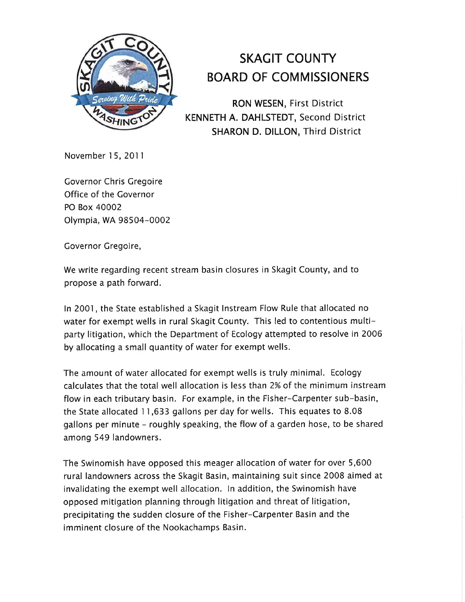

## SKACIT COUNTY BOARD OF COMMISSIONERS

RON WESEN, First District KENNETH A. DAHLSTEDT, Second District SHARON D. DILLON, Third District

November 15, 201 I

Governor Chris Gregoire Office of the Governor PO Box 40002 Olympia, WA 98504-0002

Governor Gregoire,

We write regarding recent stream basin closures in Skagit County, and to propose a path forward.

ln 2001, the State established a Skagit lnstream Flow Rule that allocated no water for exempt wells in rural Skagit County. This led to contentious multiparty litigation, which the Department of Ecology attempted to resolve in 2006 by allocating a small quantity of water for exempt wells.

The amount of water allocated for exempt wells is truly minimal. Ecology calculates that the total well allocation is less than 2% of the minimum instream flow in each tributary basin. For example, in the Fisher-Carpenter sub-basin, the State allocated I I ,633 gallons per day for wells. This equates to 8.08 gallons per minute - roughly speaking, the flow of a garden hose, to be shared among 549 landowners.

The Swinomish have opposed this meager allocation of water for over 5,600 rural landowners across the Skagit Basin, maintaining suit since 2008 aimed at invalidating the exempt well allocation. ln addition, the Swinomish have opposed mitigation planning through litigation and threat of litigation, precipitating the sudden closure of the Fisher-Carpenter Basin and the imminent closure of the Nookachamps Basin.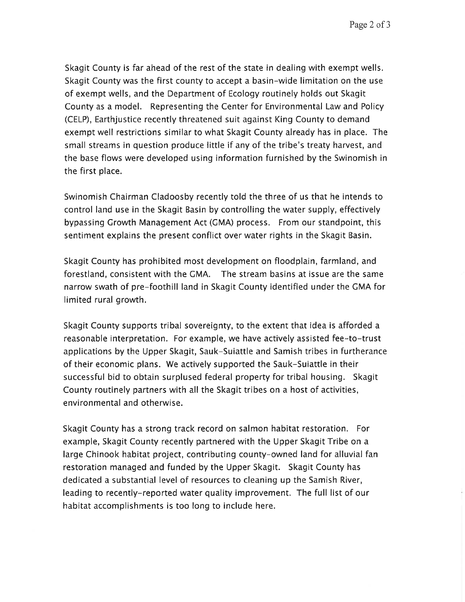Page 2 of 3

Skagit County is far ahead of the rest of the state in dealing with exempt wells. Skagit County was the first county to accept a basin-wide limitation on the use of exempt wells, and the Department of Ecology routinely holds out Skagit County as a model. Representing the Center for Environmental Law and Policy (CELP), Earthjustice recently threatened suit against King County to demand exempt well restrictions similar to what Skagit County already has in place. The small streams in question produce little if any of the tribe's treaty harvest, and the base flows were developed using information furnished by the Swinomish in the first place.

Swinomish Chairman Cladoosby recently told the three of us that he intends to control land use in the Skagit Basin by controlling the water supply, effectively bypassing Crowth Management Act (CMA) process. From our standpoint, this sentiment explains the present conflict over water rights in the Skagit Basin.

Skagit County has prohibited most development on floodplain, farmland, and forestland, consistent with the CMA. The stream basins at issue are the same narrow swath of pre-foothill land in Skagit County identified under the CMA for limited rural growth.

Skagit County supports tribal sovereignty, to the extent that idea is afforded a reasonable interpretation. For example, we have actively assisted fee-to-trust applications by the Upper Skagit, Sauk-Suiattle and Samish tribes in furtherance of their economic plans. We actively supported the Sauk-Suiattle in their successful bid to obtain surplused federal property for tribal housing. Skagit County routinely partners with all the Skagit tribes on a host of activities, environmental and otherwise.

Skagit County has a strong track record on salmon habitat restoration. For example, Skagit County recently partnered with the Upper Skagit Tribe on a large Chinook habitat project, contributing county-owned land for alluvial fan restoration managed and funded by the Upper Skagit. Skagit County has dedicated a substantial level of resources to cleaning up the Samish River, leading to recently-reported water quality improvement. The full list of our habitat accomplishments is too long to include here.